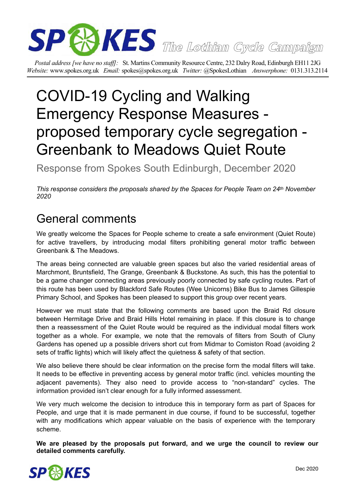

*Postal address [we have no staff]:* St. Martins Community Resource Centre, 232 Dalry Road, Edinburgh EH11 2JG *Website:* www.spokes.org.uk *Email:* spokes@spokes.org.uk *Twitter:* @SpokesLothian *Answerphone:* 0131.313.2114

# COVID-19 Cycling and Walking Emergency Response Measures proposed temporary cycle segregation - Greenbank to Meadows Quiet Route

Response from Spokes South Edinburgh, December 2020

*This response considers the proposals shared by the Spaces for People Team on 24th November 2020* 

# General comments

We greatly welcome the Spaces for People scheme to create a safe environment (Quiet Route) for active travellers, by introducing modal filters prohibiting general motor traffic between Greenbank & The Meadows.

The areas being connected are valuable green spaces but also the varied residential areas of Marchmont, Bruntsfield, The Grange, Greenbank & Buckstone. As such, this has the potential to be a game changer connecting areas previously poorly connected by safe cycling routes. Part of this route has been used by Blackford Safe Routes (Wee Unicorns) Bike Bus to James Gillespie Primary School, and Spokes has been pleased to support this group over recent years.

However we must state that the following comments are based upon the Braid Rd closure between Hermitage Drive and Braid Hills Hotel remaining in place. If this closure is to change then a reassessment of the Quiet Route would be required as the individual modal filters work together as a whole. For example, we note that the removals of filters from South of Cluny Gardens has opened up a possible drivers short cut from Midmar to Comiston Road (avoiding 2 sets of traffic lights) which will likely affect the quietness & safety of that section.

We also believe there should be clear information on the precise form the modal filters will take. It needs to be effective in preventing access by general motor traffic (incl. vehicles mounting the adjacent pavements). They also need to provide access to "non-standard" cycles. The information provided isn't clear enough for a fully informed assessment.

We very much welcome the decision to introduce this in temporary form as part of Spaces for People, and urge that it is made permanent in due course, if found to be successful, together with any modifications which appear valuable on the basis of experience with the temporary scheme.

**We are pleased by the proposals put forward, and we urge the council to review our detailed comments carefully.** 

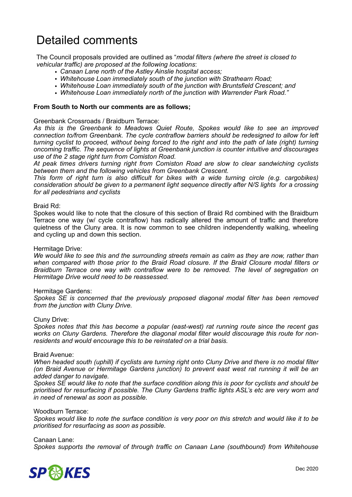# Detailed comments

The Council proposals provided are outlined as "*modal filters (where the street is closed to vehicular traffic) are proposed at the following locations*:

- *• Canaan Lane north of the Astley Ainslie hospital access;*
- *• Whitehouse Loan immediately south of the junction with Strathearn Road;*
- *• Whitehouse Loan immediately south of the junction with Bruntsfield Crescent; and*
- *• Whitehouse Loan immediately north of the junction with Warrender Park Road."*

### **From South to North our comments are as follows;**

#### Greenbank Crossroads / Braidburn Terrace:

*As this is the Greenbank to Meadows Quiet Route, Spokes would like to see an improved connection to/from Greenbank. The cycle contraflow barriers should be redesigned to allow for left turning cyclist to proceed, without being forced to the right and into the path of late (right) turning oncoming traffic. The sequence of lights at Greenbank junction is counter intuitive and discourages use of the 2 stage right turn from Comiston Road.* 

*At peak times drivers turning right from Comiston Road are slow to clear sandwiching cyclists between them and the following vehicles from Greenbank Crescent.* 

*This form of right turn is also difficult for bikes with a wide turning circle (e.g. cargobikes) consideration should be given to a permanent light sequence directly after N/S lights for a crossing for all pedestrians and cyclists* 

#### Braid Rd:

Spokes would like to note that the closure of this section of Braid Rd combined with the Braidburn Terrace one way (w/ cycle contraflow) has radically altered the amount of traffic and therefore quietness of the Cluny area. It is now common to see children independently walking, wheeling and cycling up and down this section.

#### Hermitage Drive:

*We would like to see this and the surrounding streets remain as calm as they are now, rather than when compared with those prior to the Braid Road closure. If the Braid Closure modal filters or Braidburn Terrace one way with contraflow were to be removed. The level of segregation on Hermitage Drive would need to be reassessed.* 

#### Hermitage Gardens:

*Spokes SE is concerned that the previously proposed diagonal modal filter has been removed from the junction with Cluny Drive.* 

#### Cluny Drive:

*Spokes notes that this has become a popular (east-west) rat running route since the recent gas works on Cluny Gardens. Therefore the diagonal modal filter would discourage this route for nonresidents and would encourage this to be reinstated on a trial basis.* 

#### Braid Avenue:

*When headed south (uphill) if cyclists are turning right onto Cluny Drive and there is no modal filter (on Braid Avenue or Hermitage Gardens junction) to prevent east west rat running it will be an added danger to navigate.* 

*Spokes SE would like to note that the surface condition along this is poor for cyclists and should be prioritised for resurfacing if possible. The Cluny Gardens traffic lights ASL's etc are very worn and in need of renewal as soon as possible.* 

#### Woodburn Terrace:

*Spokes would like to note the surface condition is very poor on this stretch and would like it to be prioritised for resurfacing as soon as possible.* 

#### Canaan Lane:

*Spokes supports the removal of through traffic on Canaan Lane (southbound) from Whitehouse* 

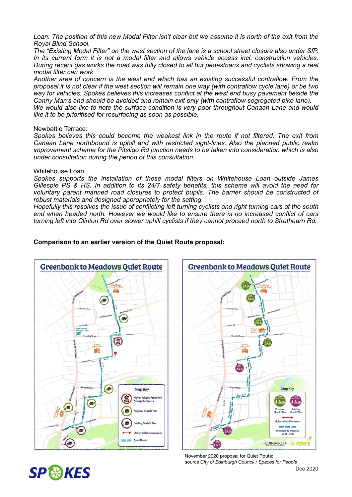Loan. The position of this new Modal Filter isn't clear but we assume it is north of the exit from the *Royal Blind School.* 

*The "Existing Modal Filter" on the west section of the lane is a school street closure also under SfP. In its current form it is not a modal filter and allows vehicle access incl. construction vehicles. During recent gas works the road was fully closed to all but pedestrians and cyclists showing a real modal filter can work.* 

*Another area of concern is the west end which has an existing successful contraflow. From the proposal it is not clear if the west section will remain one way (with contraflow cycle lane) or be two way for vehicles. Spokes believes this increases conflict at the west end busy pavement beside the Canny Man's and should be avoided and remain exit only (with contraflow segregated bike lane).* 

*We would also like to note the surface condition is very poor throughout Canaan Lane and would like it to be prioritised for resurfacing as soon as possible.* 

#### Newbattle Terrace:

*Spokes believes this could become the weakest link in the route if not filtered. The exit from Canaan Lane northbound is uphill and with restricted sight-lines. Also the planned public realm improvement scheme for the Pitsligo Rd junction needs to be taken into consideration which is also under consultation during the period of this consultation.* 

#### Whitehouse Loan

**SP & KES** 

*Spokes supports the installation of these modal filters on Whitehouse Loan outside James Gillespie PS & HS. In addition to its 24/7 safety benefits, this scheme will avoid the need for voluntary parent manned road closures to protect pupils. The barrier should be constructed of robust materials and designed appropriately for the setting.* 

*Hopefully this resolves the issue of conflicting left turning cyclists and right turning cars at the south end when headed north. However we would like to ensure there is no increased conflict of cars turning left into Clinton Rd over slower uphill cyclists if they cannot proceed north to Strathearn Rd.* 





# November 2020 proposal for Quiet Route; source *City of Edinburgh Council / Spaces for People*

## **Comparison to an earlier version of the Quiet Route proposal:**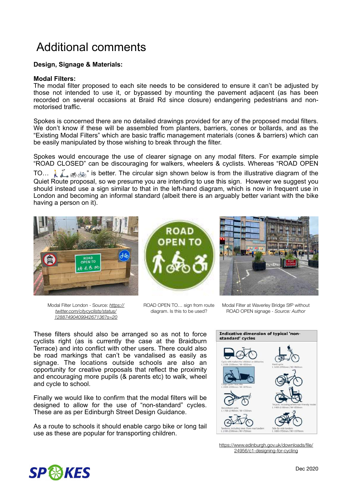# Additional comments

# **Design, Signage & Materials:**

#### **Modal Filters:**

The modal filter proposed to each site needs to be considered to ensure it can't be adjusted by those not intended to use it, or bypassed by mounting the pavement adjacent (as has been recorded on several occasions at Braid Rd since closure) endangering pedestrians and nonmotorised traffic.

Spokes is concerned there are no detailed drawings provided for any of the proposed modal filters. We don't know if these will be assembled from planters, barriers, cones or bollards, and as the "Existing Modal Filters" which are basic traffic management materials (cones & barriers) which can be easily manipulated by those wishing to break through the filter.

Spokes would encourage the use of clearer signage on any modal filters. For example simple "ROAD CLOSED" can be discouraging for walkers, wheelers & cyclists. Whereas "ROAD OPEN

TO...  $\bigcup_{i=1}^{\infty}$  is better. The circular sign shown below is from the illustrative diagram of the Quiet Route proposal, so we presume you are intending to use this sign. However we suggest you should instead use a sign similar to that in the left-hand diagram, which is now in frequent use in London and becoming an informal standard (albeit there is an arguably better variant with the bike having a person on it).



Modal Filter London - Source: *[https://](https://twitter.com/citycyclists/status/1288749040994267136?s=20) [twitter.com/citycyclists/status/](https://twitter.com/citycyclists/status/1288749040994267136?s=20) [1288749040994267136?s=20](https://twitter.com/citycyclists/status/1288749040994267136?s=20)*



ROAD OPEN TO… sign from route diagram. Is this to be used?



Modal Filter at Waverley Bridge SfP without ROAD OPEN signage - *Source: Author*

These filters should also be arranged so as not to force cyclists right (as is currently the case at the Braidburn Terrace) and into conflict with other users. There could also be road markings that can't be vandalised as easily as signage. The locations outside schools are also an opportunity for creative proposals that reflect the proximity and encouraging more pupils (& parents etc) to walk, wheel and cycle to school.

Finally we would like to confirm that the modal filters will be designed to allow for the use of "non-standard" cycles. These are as per Edinburgh Street Design Guidance.

As a route to schools it should enable cargo bike or long tail use as these are popular for transporting children.



[https://www.edinburgh.gov.uk/downloads/file/](https://www.edinburgh.gov.uk/downloads/file/24956/c1-designing-for-cycling) [24956/c1-designing-for-cycling](https://www.edinburgh.gov.uk/downloads/file/24956/c1-designing-for-cycling)